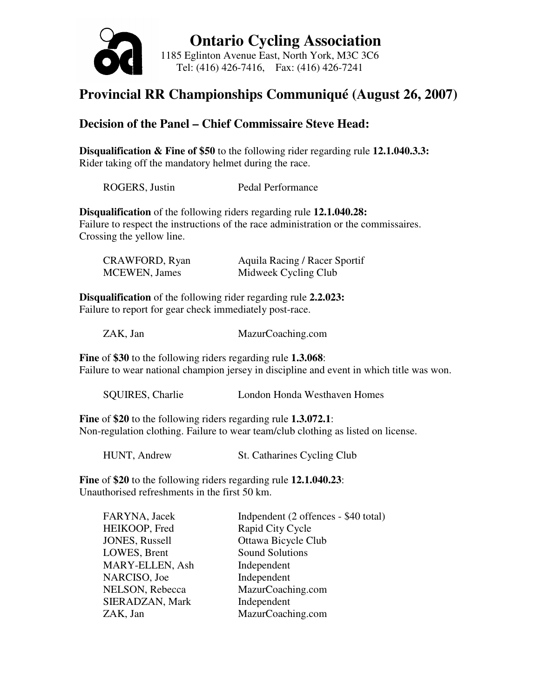

 **Ontario Cycling Association**  1185 Eglinton Avenue East, North York, M3C 3C6 Tel: (416) 426-7416, Fax: (416) 426-7241

### **Provincial RR Championships Communiqué (August 26, 2007)**

### **Decision of the Panel – Chief Commissaire Steve Head:**

**Disqualification & Fine of \$50** to the following rider regarding rule **12.1.040.3.3:**  Rider taking off the mandatory helmet during the race.

| ROGERS, Justin | Pedal Performance |
|----------------|-------------------|
|----------------|-------------------|

**Disqualification** of the following riders regarding rule **12.1.040.28:**  Failure to respect the instructions of the race administration or the commissaires. Crossing the yellow line.

| CRAWFORD, Ryan        | Aquila Racing / Racer Sportif |
|-----------------------|-------------------------------|
| <b>MCEWEN</b> , James | Midweek Cycling Club          |

**Disqualification** of the following rider regarding rule **2.2.023:**  Failure to report for gear check immediately post-race.

ZAK, Jan MazurCoaching.com

**Fine** of **\$30** to the following riders regarding rule **1.3.068**: Failure to wear national champion jersey in discipline and event in which title was won.

SQUIRES, Charlie London Honda Westhaven Homes

**Fine** of **\$20** to the following riders regarding rule **1.3.072.1**: Non-regulation clothing. Failure to wear team/club clothing as listed on license.

HUNT, Andrew St. Catharines Cycling Club

**Fine** of **\$20** to the following riders regarding rule **12.1.040.23**: Unauthorised refreshments in the first 50 km.

| FARYNA, Jacek   | Indpendent (2 offences - \$40 total) |
|-----------------|--------------------------------------|
| HEIKOOP, Fred   | Rapid City Cycle                     |
| JONES, Russell  | Ottawa Bicycle Club                  |
| LOWES, Brent    | <b>Sound Solutions</b>               |
| MARY-ELLEN, Ash | Independent                          |
| NARCISO, Joe    | Independent                          |
| NELSON, Rebecca | MazurCoaching.com                    |
| SIERADZAN, Mark | Independent                          |
| ZAK, Jan        | MazurCoaching.com                    |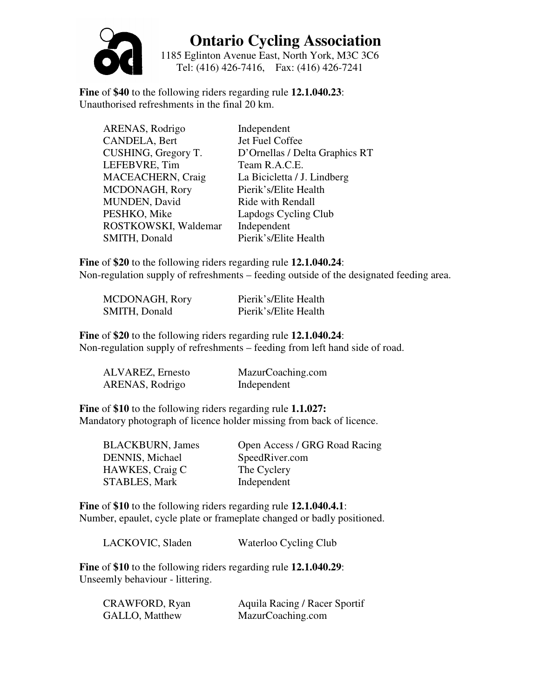

## **Ontario Cycling Association**

1185 Eglinton Avenue East, North York, M3C 3C6 Tel: (416) 426-7416, Fax: (416) 426-7241

**Fine** of **\$40** to the following riders regarding rule **12.1.040.23**: Unauthorised refreshments in the final 20 km.

| ARENAS, Rodrigo      | Independent                    |
|----------------------|--------------------------------|
| CANDELA, Bert        | Jet Fuel Coffee                |
| CUSHING, Gregory T.  | D'Ornellas / Delta Graphics RT |
| LEFEBVRE, Tim        | Team R.A.C.E.                  |
| MACEACHERN, Craig    | La Bicicletta / J. Lindberg    |
| MCDONAGH, Rory       | Pierik's/Elite Health          |
| MUNDEN, David        | Ride with Rendall              |
| PESHKO, Mike         | Lapdogs Cycling Club           |
| ROSTKOWSKI, Waldemar | Independent                    |
| SMITH, Donald        | Pierik's/Elite Health          |

**Fine** of **\$20** to the following riders regarding rule **12.1.040.24**: Non-regulation supply of refreshments – feeding outside of the designated feeding area.

| MCDONAGH, Rory | Pierik's/Elite Health |
|----------------|-----------------------|
| SMITH, Donald  | Pierik's/Elite Health |

**Fine** of **\$20** to the following riders regarding rule **12.1.040.24**: Non-regulation supply of refreshments – feeding from left hand side of road.

| ALVAREZ, Ernesto | MazurCoaching.com |
|------------------|-------------------|
| ARENAS, Rodrigo  | Independent       |

**Fine** of **\$10** to the following riders regarding rule **1.1.027:**  Mandatory photograph of licence holder missing from back of licence.

| <b>BLACKBURN, James</b> | Open Access / GRG Road Racing |
|-------------------------|-------------------------------|
| DENNIS, Michael         | SpeedRiver.com                |
| <b>HAWKES</b> , Craig C | The Cyclery                   |
| <b>STABLES, Mark</b>    | Independent                   |

**Fine** of **\$10** to the following riders regarding rule **12.1.040.4.1**: Number, epaulet, cycle plate or frameplate changed or badly positioned.

**Fine** of **\$10** to the following riders regarding rule **12.1.040.29**: Unseemly behaviour - littering.

| CRAWFORD, Ryan        | Aquila Racing / Racer Sportif |
|-----------------------|-------------------------------|
| <b>GALLO, Matthew</b> | MazurCoaching.com             |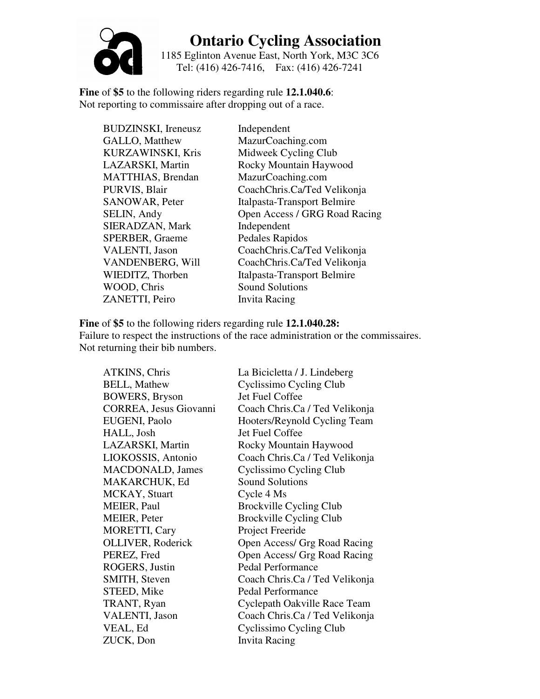# **Ontario Cycling Association**

1185 Eglinton Avenue East, North York, M3C 3C6 Tel: (416) 426-7416, Fax: (416) 426-7241

**Fine** of **\$5** to the following riders regarding rule **12.1.040.6**: Not reporting to commissaire after dropping out of a race.

BUDZINSKI, Ireneusz Independent GALLO, Matthew MazurCoaching.com MATTHIAS, Brendan MazurCoaching.com SIERADZAN, Mark Independent SPERBER, Graeme Pedales Rapidos WOOD, Chris Sound Solutions ZANETTI, Peiro Invita Racing

KURZAWINSKI, Kris Midweek Cycling Club LAZARSKI, Martin Rocky Mountain Haywood PURVIS, Blair CoachChris.Ca/Ted Velikonja SANOWAR, Peter Italpasta-Transport Belmire SELIN, Andy Open Access / GRG Road Racing VALENTI, Jason CoachChris.Ca/Ted Velikonja VANDENBERG, Will CoachChris.Ca/Ted Velikonja WIEDITZ, Thorben Italpasta-Transport Belmire

**Fine** of **\$5** to the following riders regarding rule **12.1.040.28:**  Failure to respect the instructions of the race administration or the commissaires. Not returning their bib numbers.

| ATKINS, Chris            | La Bicicletta / J. Lindeberg   |
|--------------------------|--------------------------------|
| <b>BELL, Mathew</b>      | Cyclissimo Cycling Club        |
| <b>BOWERS, Bryson</b>    | Jet Fuel Coffee                |
| CORREA, Jesus Giovanni   | Coach Chris.Ca / Ted Velikonja |
| EUGENI, Paolo            | Hooters/Reynold Cycling Team   |
| HALL, Josh               | Jet Fuel Coffee                |
| LAZARSKI, Martin         | Rocky Mountain Haywood         |
| LIOKOSSIS, Antonio       | Coach Chris.Ca / Ted Velikonja |
| MACDONALD, James         | Cyclissimo Cycling Club        |
| MAKARCHUK, Ed            | <b>Sound Solutions</b>         |
| MCKAY, Stuart            | Cycle 4 Ms                     |
| MEIER, Paul              | <b>Brockville Cycling Club</b> |
| <b>MEIER, Peter</b>      | <b>Brockville Cycling Club</b> |
| <b>MORETTI, Cary</b>     | Project Freeride               |
| <b>OLLIVER, Roderick</b> | Open Access/ Grg Road Racing   |
| PEREZ, Fred              | Open Access/ Grg Road Racing   |
| ROGERS, Justin           | <b>Pedal Performance</b>       |
| <b>SMITH, Steven</b>     | Coach Chris.Ca / Ted Velikonja |
| STEED, Mike              | Pedal Performance              |
| TRANT, Ryan              | Cyclepath Oakville Race Team   |
| VALENTI, Jason           | Coach Chris.Ca / Ted Velikonja |
| VEAL, Ed                 | Cyclissimo Cycling Club        |
| ZUCK, Don                | <b>Invita Racing</b>           |